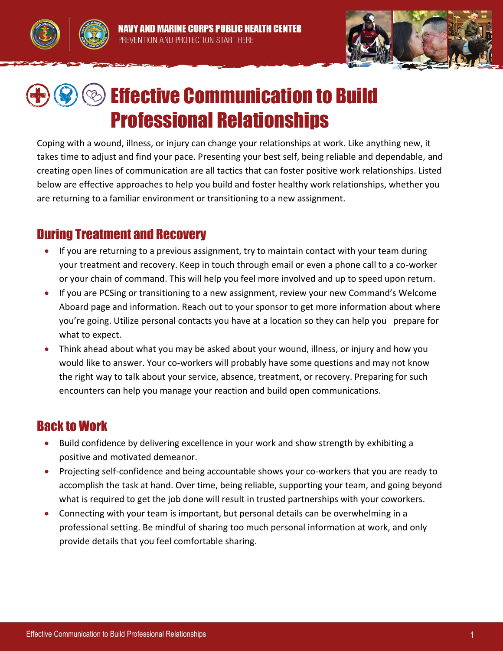



## **Solution Communication to Build Service Communication to Build** Professional Relationships

Coping with a wound, illness, or injury can change your relationships at work. Like anything new, it takes time to adjust and find your pace. Presenting your best self, being reliable and dependable, and creating open lines of communication are all tactics that can foster positive work relationships. Listed below are effective approaches to help you build and foster healthy work relationships, whether you are returning to a familiar environment or transitioning to a new assignment.

## During Treatment and Recovery

- If you are returning to a previous assignment, try to maintain contact with your team during your treatment and recovery. Keep in touch through email or even a phone call to a co-worker or your chain of command. This will help you feel more involved and up to speed upon return.
- If you are PCSing or transitioning to a new assignment, review your new Command's Welcome Aboard page and information. Reach out to your sponsor to get more information about where you're going. Utilize personal contacts you have at a location so they can help you prepare for what to expect.
- Think ahead about what you may be asked about your wound, illness, or injury and how you would like to answer. Your co-workers will probably have some questions and may not know the right way to talk about your service, absence, treatment, or recovery. Preparing for such encounters can help you manage your reaction and build open communications.

## Back to Work

- Build confidence by delivering excellence in your work and show strength by exhibiting a positive and motivated demeanor.
- Projecting self-confidence and being accountable shows your co-workers that you are ready to accomplish the task at hand. Over time, being reliable, supporting your team, and going beyond what is required to get the job done will result in trusted partnerships with your coworkers.
- Connecting with your team is important, but personal details can be overwhelming in a professional setting. Be mindful of sharing too much personal information at work, and only provide details that you feel comfortable sharing.